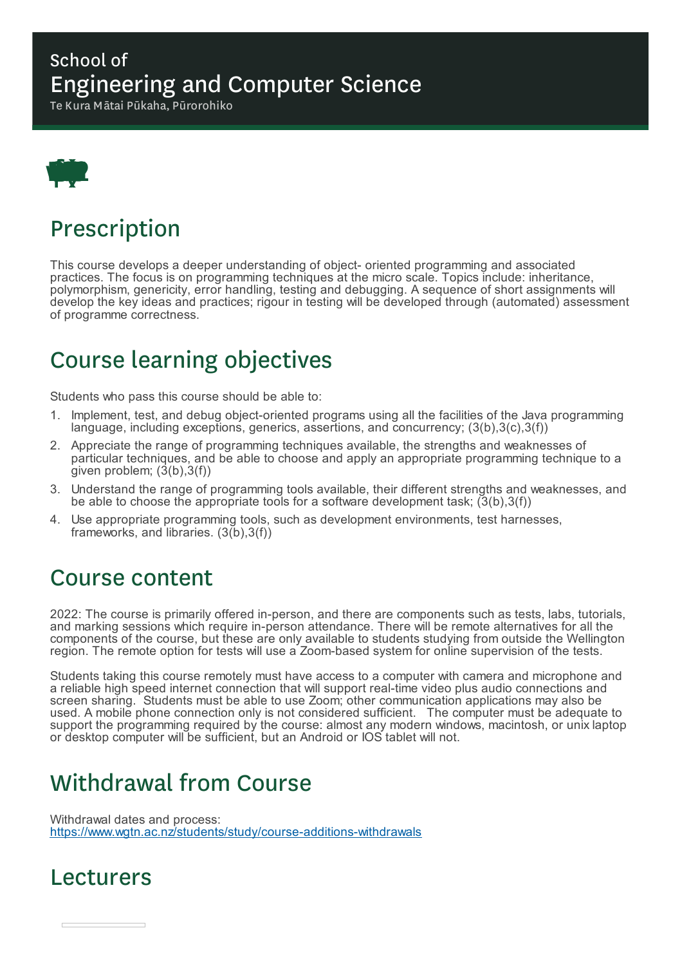#### School of Engineering and Computer Science

Te Kura Mātai Pūkaha, Pūrorohiko



### Prescription

This course develops a deeper understanding of object- oriented programming and associated practices. The focus is on programming techniques at the micro scale. Topics include: inheritance, polymorphism, genericity, error handling, testing and debugging. A sequence of short assignments will develop the key ideas and practices; rigour in testing will be developed through (automated) assessment of programme correctness.

# Course learning objectives

Students who pass this course should be able to:

- 1. Implement, test, and debug object-oriented programs using all the facilities of the Java programming language, including exceptions, generics, assertions, and concurrency; (3(b),3(c),3(f))
- 2. Appreciate the range of programming techniques available, the strengths and weaknesses of particular techniques, and be able to choose and apply an appropriate programming technique to a given problem;  $(3(b),3(f))$
- 3. Understand the range of programming tools available, their different strengths and weaknesses, and be able to choose the appropriate tools for a software development task;  $(3(b),3(f))$
- 4. Use appropriate programming tools, such as development environments, test harnesses, frameworks, and libraries. (3(b), 3(f))

#### Course content

2022: The course is primarily offered in-person, and there are components such as tests, labs, tutorials, and marking sessions which require in-person attendance. There will be remote alternatives for all the components of the course, but these are only available to students studying from outside the Wellington region. The remote option for tests will use a Zoom-based system for online supervision of the tests.

Students taking this course remotely must have access to a computer with camera and microphone and a reliable high speed internet connection that will support real-time video plus audio connections and screen sharing. Students must be able to use Zoom; other communication applications may also be used. A mobile phone connection only is not considered sufficient. The computer must be adequate to support the programming required by the course: almost any modern windows, macintosh, or unix laptop or desktop computer will be sufficient, but an Android or IOS tablet will not.

# Withdrawal from Course

Withdrawal dates and process: https://www.wgtn.ac.nz/students/study/course-additions-withdrawals

#### Lecturers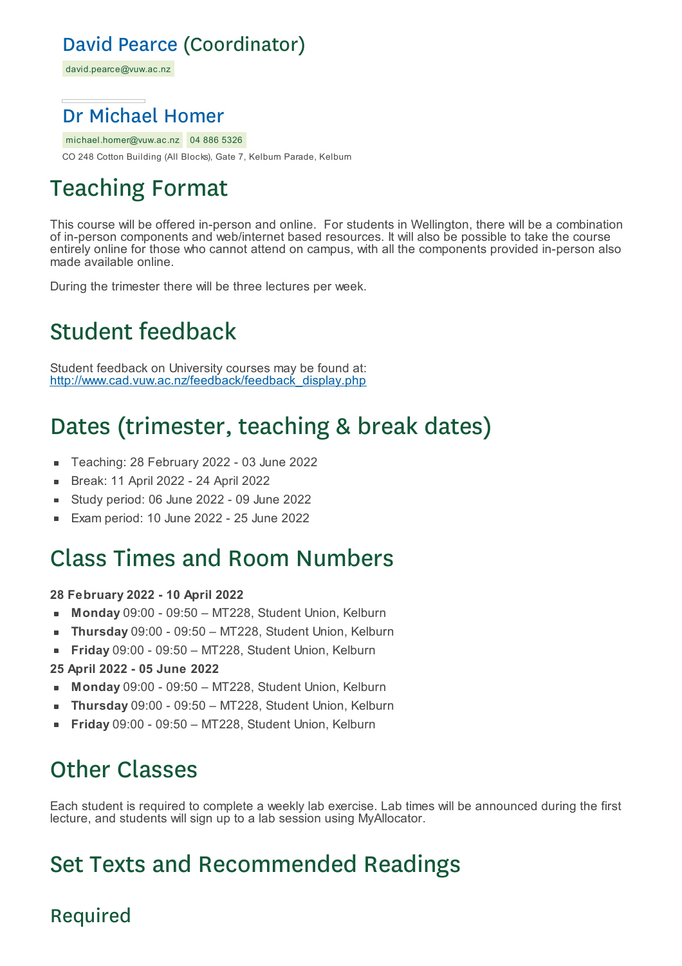#### David Pearce (Coordinator)

david.pearce@vuw.ac.nz

#### Dr Michael Homer

michael.homer@vuw.ac.nz 04 886 5326 CO 248 Cotton Building (All Blocks), Gate 7, Kelburn Parade, Kelburn

# Teaching Format

This course will be offered in-person and online. For students in Wellington, there will be a combination of in-person components and web/internet based resources. It will also be possible to take the course entirely online for those who cannot attend on campus, with all the components provided in-person also made available online.

During the trimester there will be three lectures per week.

# Student feedback

Student feedback on University courses may be found at: http://www.cad.vuw.ac.nz/feedback/feedback\_display.php

# Dates (trimester, teaching & break dates)

- Teaching: 28 February 2022 03 June 2022
- Break: 11 April 2022 24 April 2022 É
- Study period: 06 June 2022 09 June 2022
- Exam period: 10 June 2022 25 June 2022

### Class Times and Room Numbers

#### **28 February 2022 - 10 April 2022**

- **Monday** 09:00 09:50 MT228, Student Union, Kelburn  $\blacksquare$
- **Thursday** 09:00 09:50 MT228, Student Union, Kelburn  $\blacksquare$
- **Friday** 09:00 09:50 MT228, Student Union, Kelburn É
- **25 April 2022 - 05 June 2022**
- **Monday** 09:00 09:50 MT228, Student Union, Kelburn
- **Thursday** 09:00 09:50 MT228, Student Union, Kelburn  $\blacksquare$
- **Friday** 09:00 09:50 MT228, Student Union, Kelburn

### Other Classes

Each student is required to complete a weekly lab exercise. Lab times will be announced during the first lecture, and students will sign up to a lab session using MyAllocator.

# Set Texts and Recommended Readings

#### Required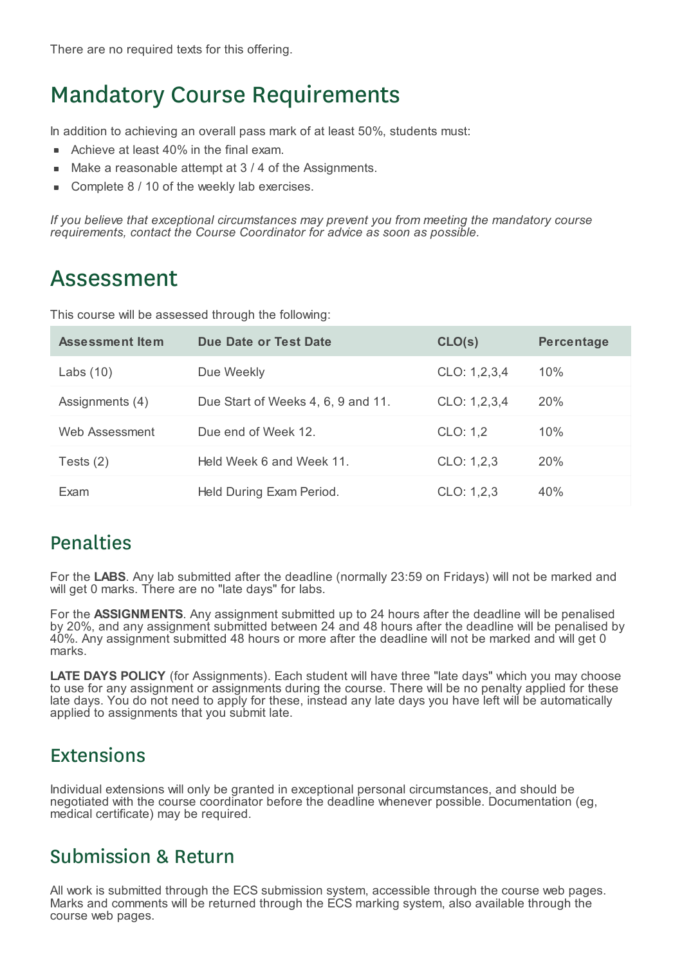### Mandatory Course Requirements

In addition to achieving an overall pass mark of at least 50%, students must:

- Achieve at least 40% in the final exam.  $\blacksquare$
- Make a reasonable attempt at 3 / 4 of the Assignments.
- Complete 8 / 10 of the weekly lab exercises.

*If you believe that exceptional circumstances may prevent you from meeting the mandatory course requirements, contact the Course Coordinator for advice as soon as possible.*

### Assessment

This course will be assessed through the following:

| <b>Assessment Item</b> | Due Date or Test Date              | CLO(s)       | <b>Percentage</b> |
|------------------------|------------------------------------|--------------|-------------------|
| Labs $(10)$            | Due Weekly                         | CLO: 1,2,3,4 | 10%               |
| Assignments (4)        | Due Start of Weeks 4, 6, 9 and 11. | CLO: 1,2,3,4 | <b>20%</b>        |
| Web Assessment         | Due end of Week 12.                | CLO: 1,2     | 10%               |
| Tests $(2)$            | Held Week 6 and Week 11.           | CLO: 1,2,3   | 20%               |
| Exam                   | Held During Exam Period.           | CLO: 1,2,3   | 40%               |

#### **Penalties**

For the **LABS**. Any lab submitted after the deadline (normally 23:59 on Fridays) will not be marked and will get 0 marks. There are no "late days" for labs.

For the **ASSIGNMENTS**. Any assignment submitted up to 24 hours after the deadline will be penalised by 20%, and any assignment submitted between 24 and 48 hours after the deadline will be penalised by 40%. Any assignment submitted 48 hours or more after the deadline will not be marked and will get 0 marks.

**LATE DAYS POLICY** (for Assignments). Each student will have three "late days" which you may choose to use for any assignment or assignments during the course. There will be no penalty applied for these late days. You do not need to apply for these, instead any late days you have left will be automatically applied to assignments that you submit late.

#### Extensions

Individual extensions will only be granted in exceptional personal circumstances, and should be negotiated with the course coordinator before the deadline whenever possible. Documentation (eg, medical certificate) may be required.

#### Submission & Return

All work is submitted through the ECS submission system, accessible through the course web pages. Marks and comments will be returned through the ECS marking system, also available through the course web pages.